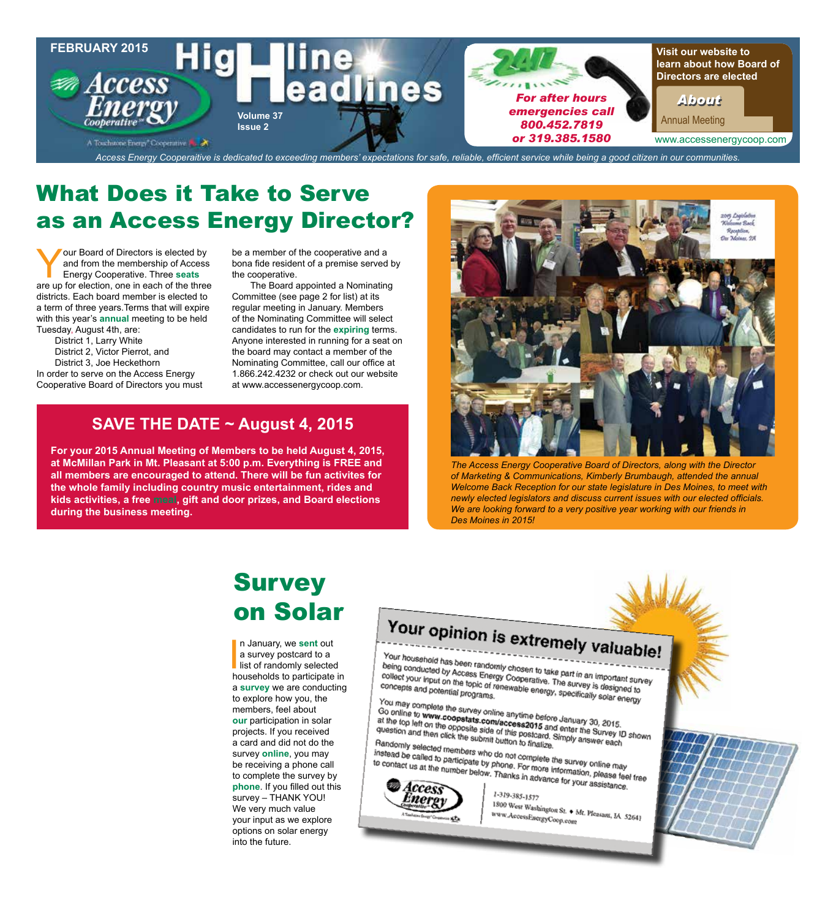

### What Does it Take to Serve as an Access Energy Director?

Your Board of Directors is elected by<br>and from the membership of Access<br>Energy Cooperative. Three seats<br>are up for election one in each of the three and from the membership of Access Energy Cooperative. Three **seats** are up for election, one in each of the three districts. Each board member is elected to a term of three years.Terms that will expire with this year's **annual** meeting to be held Tuesday, August 4th, are:

District 1, Larry White District 2, Victor Pierrot, and District 3, Joe Heckethorn In order to serve on the Access Energy Cooperative Board of Directors you must be a member of the cooperative and a bona fide resident of a premise served by the cooperative.

The Board appointed a Nominating Committee (see page 2 for list) at its regular meeting in January. Members of the Nominating Committee will select candidates to run for the **expiring** terms. Anyone interested in running for a seat on the board may contact a member of the Nominating Committee, call our office at 1.866.242.4232 or check out our website at www.accessenergycoop.com.

### **SAVE THE DATE ~ August 4, 2015**

**For your 2015 Annual Meeting of Members to be held August 4, 2015, at McMillan Park in Mt. Pleasant at 5:00 p.m. Everything is FREE and all members are encouraged to attend. There will be fun activites for the whole family including country music entertainment, rides and kids activities, a free meal, gift and door prizes, and Board elections during the business meeting.**



*The Access Energy Cooperative Board of Directors, along with the Director of Marketing & Communications, Kimberly Brumbaugh, attended the annual Welcome Back Reception for our state legislature in Des Moines, to meet with newly elected legislators and discuss current issues with our elected officials. We are looking forward to a very positive year working with our friends in Des Moines in 2015!*

# **Survey** on Solar

n January, we **sent** out<br>a survey postcard to a<br>list of randomly selected<br>households to participate in n January, we **sent** out a survey postcard to a households to participate in a **survey** we are conducting to explore how you, the members, feel about **our** participation in solar projects. If you received a card and did not do the survey **online**, you may be receiving a phone call to complete the survey by **phone**. If you filled out this survey – THANK YOU! We very much value your input as we explore options on solar energy into the future.

# Your opinion is extremely valuable!

Your household has been randomly chosen to take part in an important survey<br>being conducted by Access Energy Cooperative. The survey is designed to<br>collect your input on the topic of renewable can't in an important survey<br> Tour household has been randomly chosen to take part in an important survey is designed by Access Energy Cooperative. The survey is designed to concepts and potential programs. being conducted by Access Energy Cooperative. The survey is designed to<br>collect your input on the topic of renewable energy, specifically solar energy<br>Concepts and potential programs.<br>You may complete the survey is designe concepts and potential programs.

You may complete the survey online anytime before January Solar er<br>Go online to www.coopstats.com/access2015 and enter the Survey online<br>at the top left on the opposite side of this Tou may complete the survey online anytime before January 30, 2015.<br>
Go online to **www.coopstats.com/access2015** and enter the Survey ID shown<br>
at the top left on the opposite side of this postcard. Simply answer each<br>
Ran at the top left on the opposites.com/access2015 and enter the Survey ID<br>at the top left on the opposites.com/access2015 and enter the Survey ID<br>question and then click the submit button to finalize.<br>Randomly selected membe at the top left on the opposite scommaccess2015 and<br>question and then click the submit button to finalize.<br>Randomly selected members ushout button to finalize.

Francisco and then click the submit button to finalize.<br>
Randomly selected members who do not complete the survey online may<br>
instead be called to participate by phone. For more information, pleased<br>
to contact us at the n

riandomly selected members who do not complete the survey online may<br>instead be called to participate by phone. For more information, please feel free<br>to contact us at the number below. Thanks in advance for your assistanc this tead be called to participate by phone. For more information, please feel<br>to contact us at the number below. Thanks in advance for your assistance.



1-319-385-1577 1800 West Washington St. + Mt. Pleasant, IA 52641<br>Www.AccessEnergyCoop.com www.AccessEnergyCoop.com

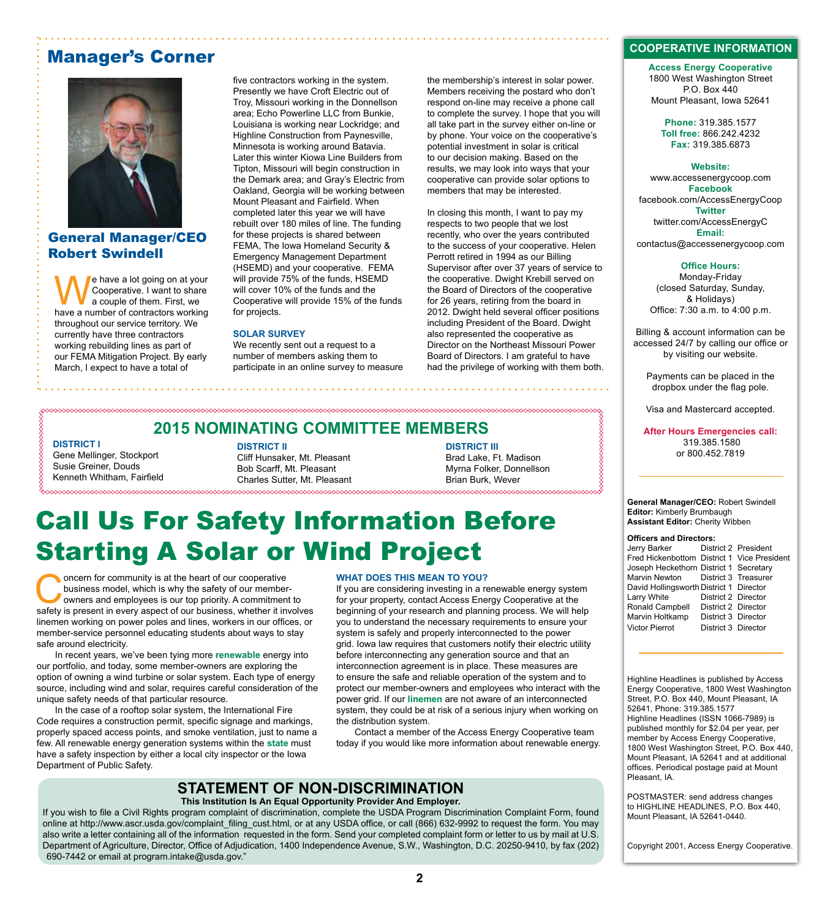### Manager's Corner



### General Manager/CEO Robert Swindell

e have a lot going on at your Cooperative. I want to share a couple of them. First, we have a number of contractors working throughout our service territory. We currently have three contractors working rebuilding lines as part of our FEMA Mitigation Project. By early March, I expect to have a total of

five contractors working in the system. Presently we have Croft Electric out of Troy, Missouri working in the Donnellson area; Echo Powerline LLC from Bunkie, Louisiana is working near Lockridge; and Highline Construction from Paynesville, Minnesota is working around Batavia. Later this winter Kiowa Line Builders from Tipton, Missouri will begin construction in the Demark area; and Gray's Electric from Oakland, Georgia will be working between Mount Pleasant and Fairfield. When completed later this year we will have rebuilt over 180 miles of line. The funding for these projects is shared between FEMA, The Iowa Homeland Security & Emergency Management Department (HSEMD) and your cooperative. FEMA will provide 75% of the funds, HSEMD will cover 10% of the funds and the Cooperative will provide 15% of the funds for projects.

#### **SOLAR SURVEY**

We recently sent out a request to a number of members asking them to participate in an online survey to measure the membership's interest in solar power. Members receiving the postard who don't respond on-line may receive a phone call to complete the survey. I hope that you will all take part in the survey either on-line or by phone. Your voice on the cooperative's potential investment in solar is critical to our decision making. Based on the results, we may look into ways that your cooperative can provide solar options to members that may be interested.

In closing this month, I want to pay my respects to two people that we lost recently, who over the years contributed to the success of your cooperative. Helen Perrott retired in 1994 as our Billing Supervisor after over 37 years of service to the cooperative. Dwight Krebill served on the Board of Directors of the cooperative for 26 years, retiring from the board in 2012. Dwight held several officer positions including President of the Board. Dwight also represented the cooperative as Director on the Northeast Missouri Power Board of Directors. I am grateful to have had the privilege of working with them both.

### **2015 NOMINATING COMMITTEE MEMBERS**

**DISTRICT I** Gene Mellinger, Stockport Susie Greiner, Douds Kenneth Whitham, Fairfield

**DISTRICT II** Cliff Hunsaker, Mt. Pleasant Bob Scarff, Mt. Pleasant Charles Sutter, Mt. Pleasant

**DISTRICT III** Brad Lake, Ft. Madison Myrna Folker, Donnellson Brian Burk, Wever

# Call Us For Safety Information Before Starting A Solar or Wind Project

Oncern for community is at the heart of our cooperative<br>business model, which is why the safety of our member-<br>owners and employees is our top priority. A commitment to<br>safety is present in every aspect of our business whe business model, which is why the safety of our membersafety is present in every aspect of our business, whether it involves linemen working on power poles and lines, workers in our offices, or member-service personnel educating students about ways to stay safe around electricity.

In recent years, we've been tying more **renewable** energy into our portfolio, and today, some member-owners are exploring the option of owning a wind turbine or solar system. Each type of energy source, including wind and solar, requires careful consideration of the unique safety needs of that particular resource.

In the case of a rooftop solar system, the International Fire Code requires a construction permit, specific signage and markings, properly spaced access points, and smoke ventilation, just to name a few. All renewable energy generation systems within the **state** must have a safety inspection by either a local city inspector or the Iowa Department of Public Safety.

#### **WHAT DOES THIS MEAN TO YOU?**

If you are considering investing in a renewable energy system for your property, contact Access Energy Cooperative at the beginning of your research and planning process. We will help you to understand the necessary requirements to ensure your system is safely and properly interconnected to the power grid. Iowa law requires that customers notify their electric utility before interconnecting any generation source and that an interconnection agreement is in place. These measures are to ensure the safe and reliable operation of the system and to protect our member-owners and employees who interact with the power grid. If our **linemen** are not aware of an interconnected system, they could be at risk of a serious injury when working on the distribution system.

Contact a member of the Access Energy Cooperative team today if you would like more information about renewable energy.

### **STATEMENT OF NON-DISCRIMINATION**

**This Institution Is An Equal Opportunity Provider And Employer.**

If you wish to file a Civil Rights program complaint of discrimination, complete the USDA Program Discrimination Complaint Form, found online at http://www.ascr.usda.gov/complaint\_filing\_cust.html, or at any USDA office, or call (866) 632-9992 to request the form. You may also write a letter containing all of the information requested in the form. Send your completed complaint form or letter to us by mail at U.S. Department of Agriculture, Director, Office of Adjudication, 1400 Independence Avenue, S.W., Washington, D.C. 20250-9410, by fax (202) 690-7442 or email at program.intake@usda.gov."

#### **COOPERATIVE INFORMATION**

**Access Energy Cooperative** 1800 West Washington Street P.O. Box 440 Mount Pleasant, Iowa 52641

**Phone:** 319.385.1577 **Toll free:** 866.242.4232 **Fax:** 319.385.6873

#### **Website:**

www.accessenergycoop.com **Facebook** facebook.com/AccessEnergyCoop **Twitter** twitter.com/AccessEnergyC **Email:** contactus@accessenergycoop.com

#### **Office Hours:**

Monday-Friday (closed Saturday, Sunday, & Holidays) Office: 7:30 a.m. to 4:00 p.m.

Billing & account information can be accessed 24/7 by calling our office or by visiting our website.

Payments can be placed in the dropbox under the flag pole.

Visa and Mastercard accepted.

**After Hours Emergencies call:** 319.385.1580 or 800.452.7819

#### **General Manager/CEO:** Robert Swindell **Editor:** Kimberly Brumbaugh **Assistant Editor:** Cherity Wibben

#### **Officers and Directors:**

| Jerry Barker                                |                     | District 2 President |
|---------------------------------------------|---------------------|----------------------|
| Fred Hickenbottom District 1 Vice President |                     |                      |
| Joseph Heckethorn District 1 Secretary      |                     |                      |
| Marvin Newton District 3 Treasurer          |                     |                      |
| David Hollingsworth District 1 Director     |                     |                      |
| Larry White                                 | District 2 Director |                      |
| Ronald Campbell                             | District 2 Director |                      |
| Marvin Holtkamp                             | District 3 Director |                      |
| <b>Victor Pierrot</b>                       | District 3 Director |                      |

Highline Headlines is published by Access Energy Cooperative, 1800 West Washington Street, P.O. Box 440, Mount Pleasant, IA 52641, Phone: 319.385.1577 Highline Headlines (ISSN 1066-7989) is published monthly for \$2.04 per year, per member by Access Energy Cooperative, 1800 West Washington Street, P.O. Box 440, Mount Pleasant, IA 52641 and at additional offices. Periodical postage paid at Mount Pleasant, IA.

POSTMASTER: send address changes to HIGHLINE HEADLINES, P.O. Box 440, Mount Pleasant, IA 52641-0440.

Copyright 2001, Access Energy Cooperative.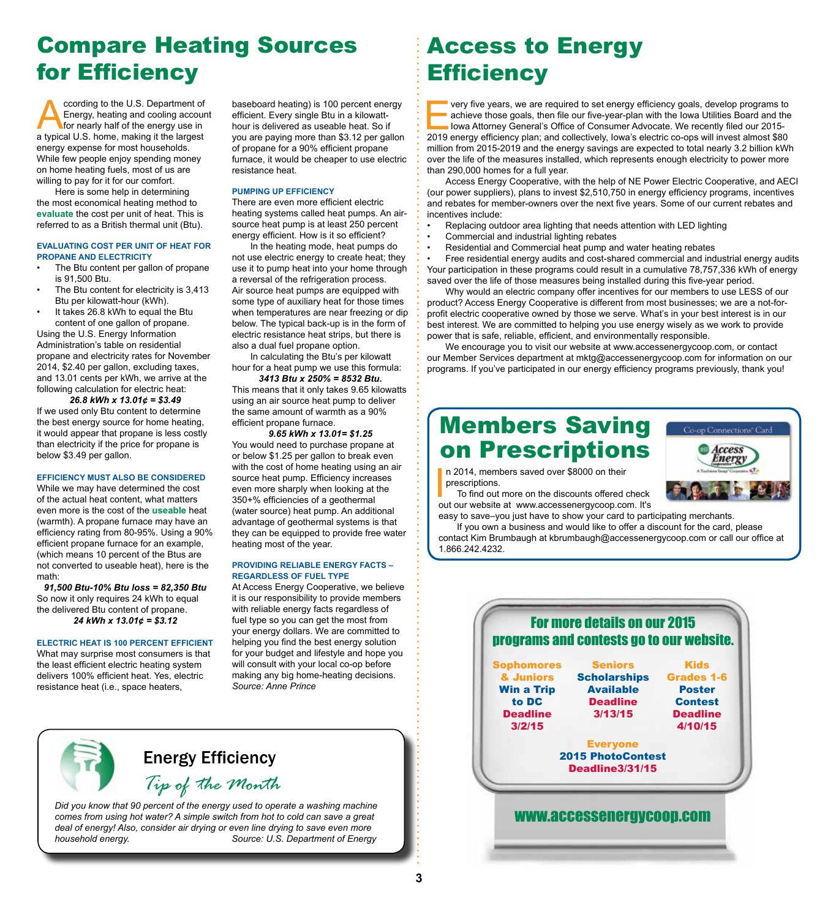### Compare Heating Sources for Efficiency

ccording to the U.S. Department of<br>Energy, heating and cooling account<br>for nearly half of the energy use in<br>a typical U.S. home making it the largest Energy, heating and cooling account for nearly half of the energy use in a typical U.S. home, making it the largest energy expense for most households. While few people enjoy spending money on home heating fuels, most of us are willing to pay for it for our comfort.

Here is some help in determining the most economical heating method to **evaluate** the cost per unit of heat. This is referred to as a British thermal unit (Btu).

#### **EVALUATING COST PER UNIT OF HEAT FOR PROPANE AND ELECTRICITY**

- The Btu content per gallon of propane is 91,500 Btu.
- The Btu content for electricity is 3,413 Btu per kilowatt-hour (kWh).
- It takes 26.8 kWh to equal the Btu content of one gallon of propane.

Using the U.S. Energy Information Administration's table on residential propane and electricity rates for November 2014, \$2.40 per gallon, excluding taxes, and 13.01 cents per kWh, we arrive at the following calculation for electric heat:

*26.8 kWh x 13.01¢ = \$3.49* If we used only Btu content to determine the best energy source for home heating, it would appear that propane is less costly than electricity if the price for propane is below \$3.49 per gallon.

**EFFICIENCY MUST ALSO BE CONSIDERED** While we may have determined the cost of the actual heat content, what matters even more is the cost of the **useable** heat (warmth). A propane furnace may have an efficiency rating from 80-95%. Using a 90% efficient propane furnace for an example, (which means 10 percent of the Btus are not converted to useable heat), here is the math:

*91,500 Btu-10% Btu loss = 82,350 Btu* So now it only requires 24 kWh to equal the delivered Btu content of propane. *24 kWh x 13.01¢ = \$3.12*

#### **ELECTRIC HEAT IS 100 PERCENT EFFICIENT**

What may surprise most consumers is that the least efficient electric heating system delivers 100% efficient heat. Yes, electric resistance heat (i.e., space heaters,

baseboard heating) is 100 percent energy efficient. Every single Btu in a kilowatthour is delivered as useable heat. So if you are paying more than \$3.12 per gallon of propane for a 90% efficient propane furnace, it would be cheaper to use electric resistance heat.

#### **PUMPING UP EFFICIENCY**

There are even more efficient electric heating systems called heat pumps. An airsource heat pump is at least 250 percent energy efficient. How is it so efficient?

In the heating mode, heat pumps do not use electric energy to create heat; they use it to pump heat into your home through a reversal of the refrigeration process. Air source heat pumps are equipped with some type of auxiliary heat for those times when temperatures are near freezing or dip below. The typical back-up is in the form of electric resistance heat strips, but there is also a dual fuel propane option.

In calculating the Btu's per kilowatt hour for a heat pump we use this formula:

*3413 Btu x 250% = 8532 Btu.* This means that it only takes 9.65 kilowatts using an air source heat pump to deliver the same amount of warmth as a 90% efficient propane furnace.

*9.65 kWh x 13.01= \$1.25* You would need to purchase propane at or below \$1.25 per gallon to break even with the cost of home heating using an air source heat pump. Efficiency increases even more sharply when looking at the 350+% efficiencies of a geothermal (water source) heat pump. An additional advantage of geothermal systems is that they can be equipped to provide free water heating most of the year.

#### **PROVIDING RELIABLE ENERGY FACTS – REGARDLESS OF FUEL TYPE**

At Access Energy Cooperative, we believe it is our responsibility to provide members with reliable energy facts regardless of fuel type so you can get the most from your energy dollars. We are committed to helping you find the best energy solution for your budget and lifestyle and hope you will consult with your local co-op before making any big home-heating decisions. *Source: Anne Prince*

# Access to Energy **Efficiency**

very five years, we are required to set energy efficiency goals, develop programs to<br>achieve those goals, then file our five-year-plan with the lowa Utilities Board and the<br>lowa Attorney General's Office of Consumer Advoca achieve those goals, then file our five-year-plan with the Iowa Utilities Board and the Iowa Attorney General's Office of Consumer Advocate. We recently filed our 2015- 2019 energy efficiency plan; and collectively, Iowa's electric co-ops will invest almost \$80 million from 2015-2019 and the energy savings are expected to total nearly 3.2 billion kWh over the life of the measures installed, which represents enough electricity to power more than 290,000 homes for a full year.

Access Energy Cooperative, with the help of NE Power Electric Cooperative, and AECI (our power suppliers), plans to invest \$2,510,750 in energy efficiency programs, incentives and rebates for member-owners over the next five years. Some of our current rebates and incentives include:

- Replacing outdoor area lighting that needs attention with LED lighting
- Commercial and industrial lighting rebates
- Residential and Commercial heat pump and water heating rebates

• Free residential energy audits and cost-shared commercial and industrial energy audits Your participation in these programs could result in a cumulative 78,757,336 kWh of energy saved over the life of those measures being installed during this five-year period.

Why would an electric company offer incentives for our members to use LESS of our product? Access Energy Cooperative is different from most businesses; we are a not-forprofit electric cooperative owned by those we serve. What's in your best interest is in our best interest. We are committed to helping you use energy wisely as we work to provide power that is safe, reliable, efficient, and environmentally responsible.

We encourage you to visit our website at www.accessenergycoop.com, or contact our Member Services department at mktg@accessenergycoop.com for information on our programs. If you've participated in our energy efficiency programs previously, thank you!

### Members Saving on Prescriptions

n 2014, members saved over \$8000 on their prescriptions.



In 2014, members saved over \$8000 on their<br>prescriptions.<br>To find out more on the discounts offered check<br>out our website at www.accessenergycoop.com. It's To find out more on the discounts offered check

easy to save–you just have to show your card to participating merchants.

If you own a business and would like to offer a discount for the card, please contact Kim Brumbaugh at kbrumbaugh@accessenergycoop.com or call our office at 1.866.242.4232.



### *Tip of the Month* Energy Efficiency

*Did you know that 90 percent of the energy used to operate a washing machine comes from using hot water? A simple switch from hot to cold can save a great deal of energy! Also, consider air drying or even line drying to save even more household energy. Source: U.S. Department of Energy*